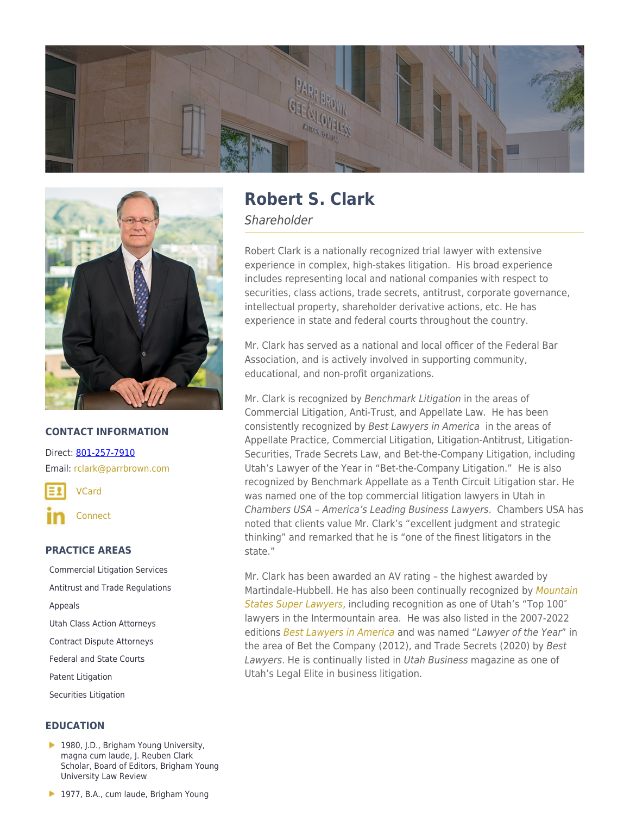



### **CONTACT INFORMATION**

Direct: [801-257-7910](https://parrbrown.com/tel:1-801-257-7910) Email: [rclark@parrbrown.com](mailto:rclark@parrbrown.com)

[VCard](https://parrbrown.com/wp-content/uploads/2018/02/Robert-S.-Clark-2.vcf)

**[Connect](https://www.linkedin.com/pub/robert-clark/1/667/3)** 

# **PRACTICE AREAS**

[Commercial Litigation Services](https://parrbrown.com/services/commercial-litigation/) [Antitrust and Trade Regulations](https://parrbrown.com/services/commercial-litigation/antitrust-trade-regulations/) [Appeals](https://parrbrown.com/services/commercial-litigation/appeals/) [Utah Class Action Attorneys](https://parrbrown.com/services/commercial-litigation/class-actions/) [Contract Dispute Attorneys](https://parrbrown.com/services/commercial-litigation/contract-disputes/) [Federal and State Courts](https://parrbrown.com/services/commercial-litigation/federal-and-state-courts/) [Patent Litigation](https://parrbrown.com/services/commercial-litigation/patent-litigation/) [Securities Litigation](https://parrbrown.com/services/commercial-litigation/securities-litigation/)

## **EDUCATION**

1980, J.D., Brigham Young University, magna cum laude, J. Reuben Clark Scholar, Board of Editors, Brigham Young University Law Review

# **Robert S. Clark**

**Shareholder** 

Robert Clark is a nationally recognized trial lawyer with extensive experience in complex, high-stakes litigation. His broad experience includes representing local and national companies with respect to securities, class actions, trade secrets, antitrust, corporate governance, intellectual property, shareholder derivative actions, etc. He has experience in state and federal courts throughout the country.

Mr. Clark has served as a national and local officer of the Federal Bar Association, and is actively involved in supporting community, educational, and non-profit organizations.

Mr. Clark is recognized by Benchmark Litigation in the areas of Commercial Litigation, Anti-Trust, and Appellate Law. He has been consistently recognized by Best Lawyers in America in the areas of Appellate Practice, Commercial Litigation, Litigation-Antitrust, Litigation-Securities, Trade Secrets Law, and Bet-the-Company Litigation, including Utah's Lawyer of the Year in "Bet-the-Company Litigation." He is also recognized by Benchmark Appellate as a Tenth Circuit Litigation star. He was named one of the top commercial litigation lawyers in Utah in Chambers USA – America's Leading Business Lawyers. Chambers USA has noted that clients value Mr. Clark's "excellent judgment and strategic thinking" and remarked that he is "one of the finest litigators in the state."

Mr. Clark has been awarded an AV rating – the highest awarded by Martindale-Hubbell. He has also been continually recognized by [Mountain](https://www.superlawyers.com/utah/toplists/) [States Super Lawyers](https://www.superlawyers.com/utah/toplists/), including recognition as one of Utah's "Top 100″ lawyers in the Intermountain area. He was also listed in the 2007-2022 editions [Best Lawyers in](https://www.bestlawyers.com/) [America](https://www.bestlawyers.com/) and was named "Lawyer of the Year" in the area of Bet the Company (2012), and Trade Secrets (2020) by Best Lawyers. He is continually listed in Utah Business magazine as one of [Utah's Legal Elite](https://www.utahbusiness.com/meet-the-2022-legal-elite/) in business litigation.